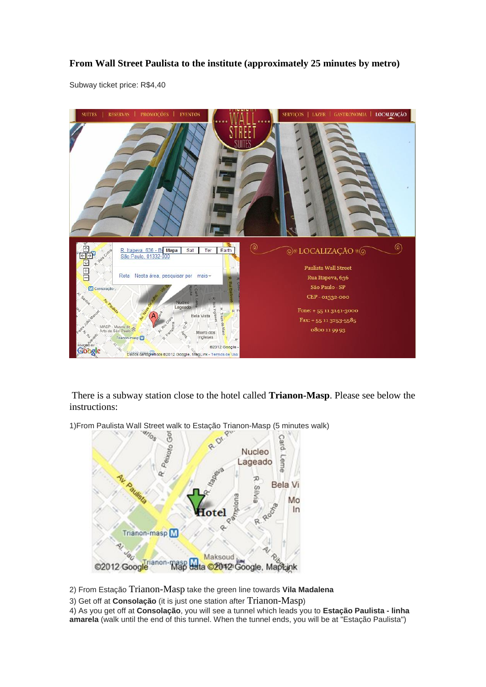## **From Wall Street Paulista to the institute (approximately 25 minutes by metro)**

Subway ticket price: R\$4,40



There is a subway station close to the hotel called **Trianon-Masp**. Please see below the instructions:

1)From Paulista Wall Street walk to Estação Trianon-Masp (5 minutes walk)



2) From Estação Trianon-Masp take the green line towards **Vila Madalena**

3) Get off at **Consolação** (it is just one station after Trianon-Masp)

4) As you get off at **Consolação**, you will see a tunnel which leads you to **Estação Paulista - linha amarela** (walk until the end of this tunnel. When the tunnel ends, you will be at "Estação Paulista")